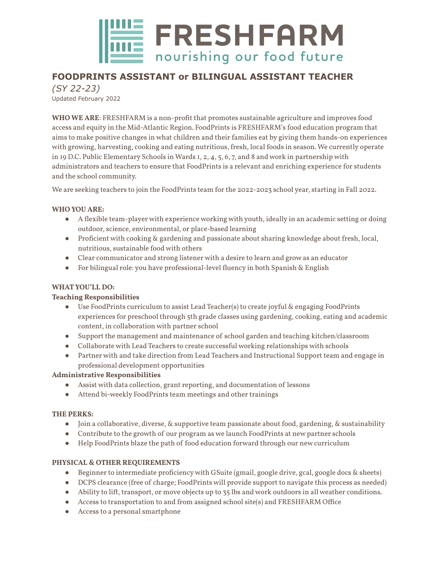

# **FOODPRINTS ASSISTANT or BILINGUAL ASSISTANT TEACHER**

*(SY 22-23)* Updated February 2022

**WHO WE ARE**: FRESHFARM is a non-profit that promotes sustainable agriculture and improves food access and equity in the Mid-Atlantic Region. FoodPrints is FRESHFARM's food education program that aims to make positive changes in what children and their families eat by giving them hands-on experiences with growing, harvesting, cooking and eating nutritious, fresh, local foods in season. We currently operate in 19 D.C. Public Elementary Schools in Wards 1, 2, 4, 5, 6, 7, and 8 and work in partnership with administrators and teachers to ensure that FoodPrints is a relevant and enriching experience for students and the school community.

We are seeking teachers to join the FoodPrints team for the 2022-2023 school year, starting in Fall 2022.

### **WHO YOU ARE:**

- A flexible team-player with experience working with youth, ideally in an academic setting or doing outdoor, science, environmental, or place-based learning
- Proficient with cooking & gardening and passionate about sharing knowledge about fresh, local, nutritious, sustainable food with others
- Clear communicator and strong listener with a desire to learn and grow as an educator
- For bilingual role: you have professional-level fluency in both Spanish & English

## **WHATYOU'LL DO:**

#### **Teaching Responsibilities**

- Use FoodPrints curriculum to assist Lead Teacher(s) to create joyful & engaging FoodPrints experiences for preschool through 5th grade classes using gardening, cooking, eating and academic content, in collaboration with partner school
- Support the management and maintenance of school garden and teaching kitchen/classroom
- Collaborate with Lead Teachers to create successful working relationships with schools
- Partner with and take direction from Lead Teachers and Instructional Support team and engage in professional development opportunities

#### **Administrative Responsibilities**

- Assist with data collection, grant reporting, and documentation of lessons
- Attend bi-weekly FoodPrints team meetings and other trainings

#### **THE PERKS:**

- Join a collaborative, diverse, & supportive team passionate about food, gardening, & sustainability
- Contribute to the growth of our program as we launch FoodPrints at new partner schools
- Help FoodPrints blaze the path of food education forward through our new curriculum

## **PHYSICAL & OTHER REQUIREMENTS**

- Beginner to intermediate proficiency with GSuite (gmail, google drive, gcal, google docs & sheets)
- DCPS clearance (free of charge; FoodPrints will provide support to navigate this process as needed)
- Ability to lift, transport, or move objects up to 35 lbs and work outdoors in all weather conditions.
- Access to transportation to and from assigned school site(s) and FRESHFARM Office
- Access to a personal smartphone